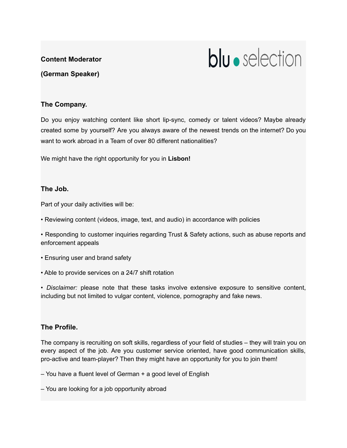# **Content Moderator**



**(German Speaker)**

### **The Company.**

Do you enjoy watching content like short lip-sync, comedy or talent videos? Maybe already created some by yourself? Are you always aware of the newest trends on the internet? Do you want to work abroad in a Team of over 80 different nationalities?

We might have the right opportunity for you in **Lisbon!**

#### **The Job.**

Part of your daily activities will be:

• Reviewing content (videos, image, text, and audio) in accordance with policies

• Responding to customer inquiries regarding Trust & Safety actions, such as abuse reports and enforcement appeals

- Ensuring user and brand safety
- Able to provide services on a 24/7 shift rotation

• *Disclaimer:* please note that these tasks involve extensive exposure to sensitive content, including but not limited to vulgar content, violence, pornography and fake news.

## **The Profile.**

The company is recruiting on soft skills, regardless of your field of studies – they will train you on every aspect of the job. Are you customer service oriented, have good communication skills, pro-active and team-player? Then they might have an opportunity for you to join them!

– You have a fluent level of German + a good level of English

– You are looking for a job opportunity abroad